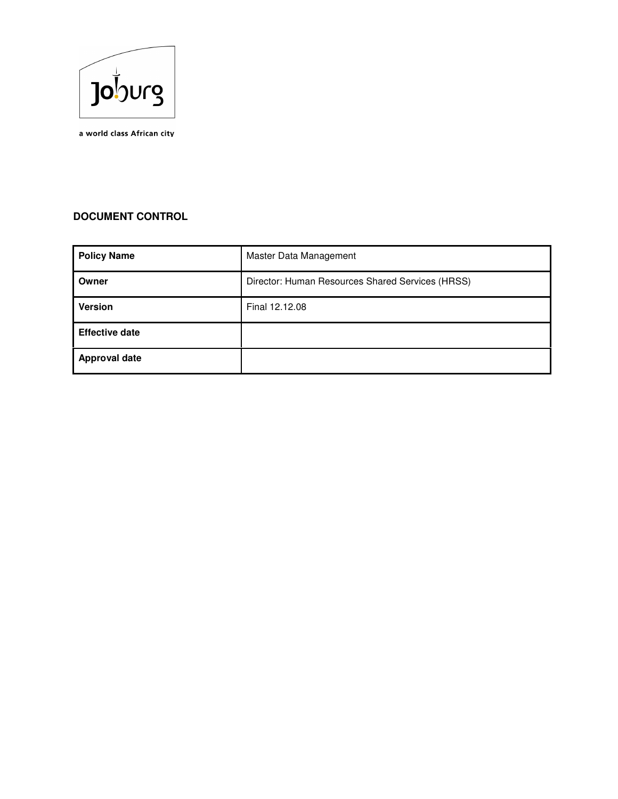

a world class African city

# **DOCUMENT CONTROL**

| <b>Policy Name</b>    | Master Data Management                           |
|-----------------------|--------------------------------------------------|
| Owner                 | Director: Human Resources Shared Services (HRSS) |
| <b>Version</b>        | Final 12.12.08                                   |
| <b>Effective date</b> |                                                  |
| <b>Approval date</b>  |                                                  |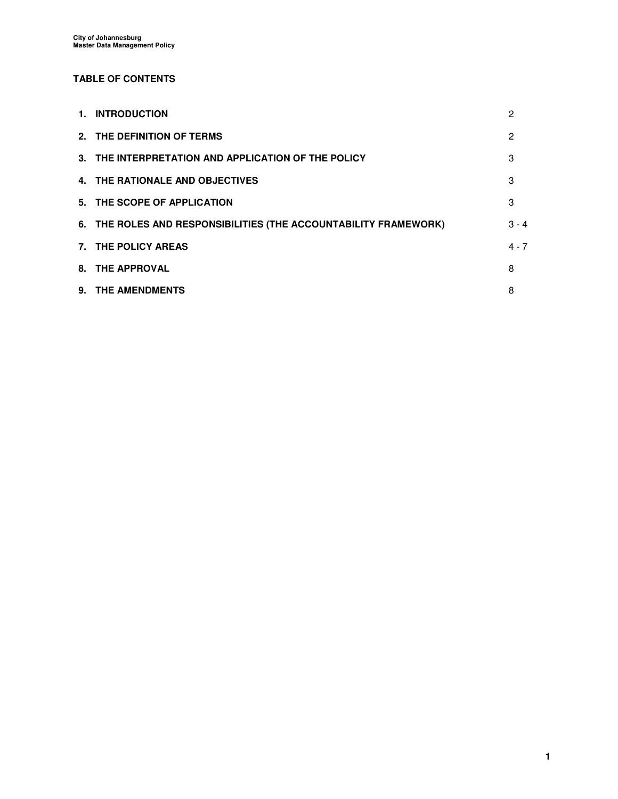## **TABLE OF CONTENTS**

| 1. INTRODUCTION                                                  | 2       |
|------------------------------------------------------------------|---------|
| 2. THE DEFINITION OF TERMS                                       | 2       |
| 3. THE INTERPRETATION AND APPLICATION OF THE POLICY              | 3       |
| 4. THE RATIONALE AND OBJECTIVES                                  | 3       |
| 5. THE SCOPE OF APPLICATION                                      | 3       |
| 6. THE ROLES AND RESPONSIBILITIES (THE ACCOUNTABILITY FRAMEWORK) | $3 - 4$ |
| 7. THE POLICY AREAS                                              | $4 - 7$ |
| 8. THE APPROVAL                                                  | 8       |
| 9. THE AMENDMENTS                                                | 8       |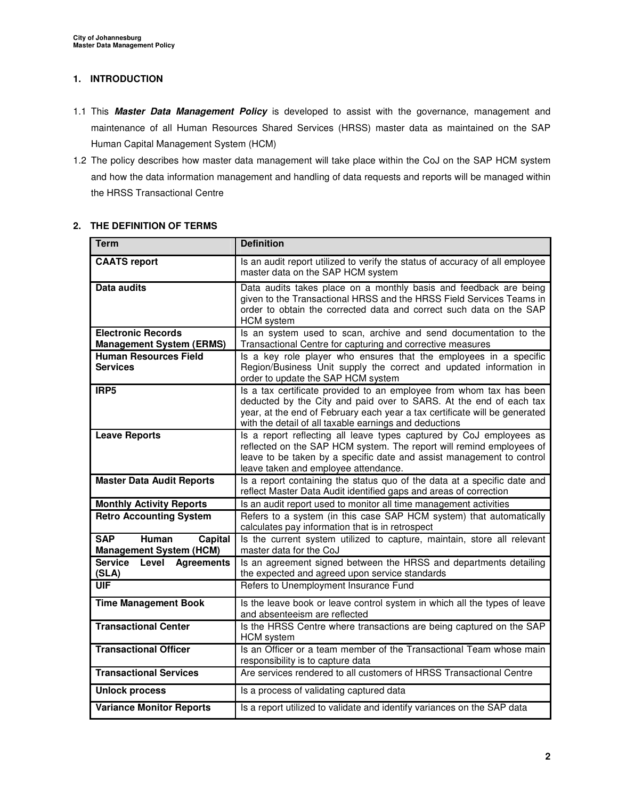## **1. INTRODUCTION**

- 1.1 This **Master Data Management Policy** is developed to assist with the governance, management and maintenance of all Human Resources Shared Services (HRSS) master data as maintained on the SAP Human Capital Management System (HCM)
- 1.2 The policy describes how master data management will take place within the CoJ on the SAP HCM system and how the data information management and handling of data requests and reports will be managed within the HRSS Transactional Centre

### **2. THE DEFINITION OF TERMS**

| <b>Term</b>                                                      | <b>Definition</b>                                                                                                                                                                                                                                                                 |
|------------------------------------------------------------------|-----------------------------------------------------------------------------------------------------------------------------------------------------------------------------------------------------------------------------------------------------------------------------------|
| <b>CAATS report</b>                                              | Is an audit report utilized to verify the status of accuracy of all employee<br>master data on the SAP HCM system                                                                                                                                                                 |
| Data audits                                                      | Data audits takes place on a monthly basis and feedback are being<br>given to the Transactional HRSS and the HRSS Field Services Teams in<br>order to obtain the corrected data and correct such data on the SAP<br><b>HCM</b> system                                             |
| <b>Electronic Records</b><br><b>Management System (ERMS)</b>     | Is an system used to scan, archive and send documentation to the<br>Transactional Centre for capturing and corrective measures                                                                                                                                                    |
| <b>Human Resources Field</b><br><b>Services</b>                  | Is a key role player who ensures that the employees in a specific<br>Region/Business Unit supply the correct and updated information in<br>order to update the SAP HCM system                                                                                                     |
| IRP <sub>5</sub>                                                 | Is a tax certificate provided to an employee from whom tax has been<br>deducted by the City and paid over to SARS. At the end of each tax<br>year, at the end of February each year a tax certificate will be generated<br>with the detail of all taxable earnings and deductions |
| <b>Leave Reports</b>                                             | Is a report reflecting all leave types captured by CoJ employees as<br>reflected on the SAP HCM system. The report will remind employees of<br>leave to be taken by a specific date and assist management to control<br>leave taken and employee attendance.                      |
| <b>Master Data Audit Reports</b>                                 | Is a report containing the status quo of the data at a specific date and<br>reflect Master Data Audit identified gaps and areas of correction                                                                                                                                     |
| <b>Monthly Activity Reports</b>                                  | Is an audit report used to monitor all time management activities                                                                                                                                                                                                                 |
| <b>Retro Accounting System</b>                                   | Refers to a system (in this case SAP HCM system) that automatically<br>calculates pay information that is in retrospect                                                                                                                                                           |
| Human<br><b>SAP</b><br>Capital<br><b>Management System (HCM)</b> | Is the current system utilized to capture, maintain, store all relevant<br>master data for the CoJ                                                                                                                                                                                |
| Service Level Agreements<br>(SLA)                                | Is an agreement signed between the HRSS and departments detailing<br>the expected and agreed upon service standards                                                                                                                                                               |
| <b>UIF</b>                                                       | Refers to Unemployment Insurance Fund                                                                                                                                                                                                                                             |
| <b>Time Management Book</b>                                      | Is the leave book or leave control system in which all the types of leave<br>and absenteeism are reflected                                                                                                                                                                        |
| <b>Transactional Center</b>                                      | Is the HRSS Centre where transactions are being captured on the SAP<br><b>HCM</b> system                                                                                                                                                                                          |
| <b>Transactional Officer</b>                                     | Is an Officer or a team member of the Transactional Team whose main<br>responsibility is to capture data                                                                                                                                                                          |
| <b>Transactional Services</b>                                    | Are services rendered to all customers of HRSS Transactional Centre                                                                                                                                                                                                               |
| <b>Unlock process</b>                                            | Is a process of validating captured data                                                                                                                                                                                                                                          |
| <b>Variance Monitor Reports</b>                                  | Is a report utilized to validate and identify variances on the SAP data                                                                                                                                                                                                           |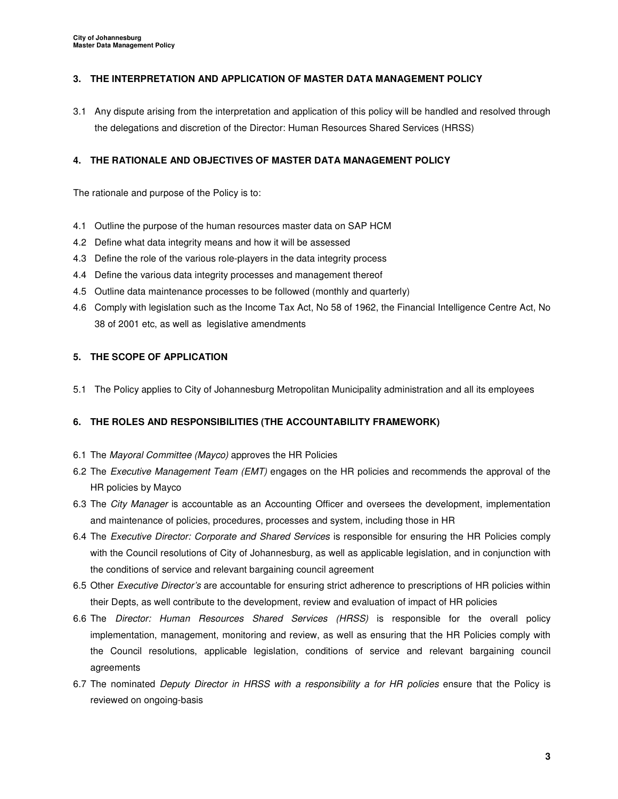## **3. THE INTERPRETATION AND APPLICATION OF MASTER DATA MANAGEMENT POLICY**

3.1 Any dispute arising from the interpretation and application of this policy will be handled and resolved through the delegations and discretion of the Director: Human Resources Shared Services (HRSS)

## **4. THE RATIONALE AND OBJECTIVES OF MASTER DATA MANAGEMENT POLICY**

The rationale and purpose of the Policy is to:

- 4.1 Outline the purpose of the human resources master data on SAP HCM
- 4.2 Define what data integrity means and how it will be assessed
- 4.3 Define the role of the various role-players in the data integrity process
- 4.4 Define the various data integrity processes and management thereof
- 4.5 Outline data maintenance processes to be followed (monthly and quarterly)
- 4.6 Comply with legislation such as the Income Tax Act, No 58 of 1962, the Financial Intelligence Centre Act, No 38 of 2001 etc, as well as legislative amendments

#### **5. THE SCOPE OF APPLICATION**

5.1 The Policy applies to City of Johannesburg Metropolitan Municipality administration and all its employees

### **6. THE ROLES AND RESPONSIBILITIES (THE ACCOUNTABILITY FRAMEWORK)**

- 6.1 The Mayoral Committee (Mayco) approves the HR Policies
- 6.2 The *Executive Management Team (EMT)* engages on the HR policies and recommends the approval of the HR policies by Mayco
- 6.3 The City Manager is accountable as an Accounting Officer and oversees the development, implementation and maintenance of policies, procedures, processes and system, including those in HR
- 6.4 The Executive Director: Corporate and Shared Services is responsible for ensuring the HR Policies comply with the Council resolutions of City of Johannesburg, as well as applicable legislation, and in conjunction with the conditions of service and relevant bargaining council agreement
- 6.5 Other Executive Director's are accountable for ensuring strict adherence to prescriptions of HR policies within their Depts, as well contribute to the development, review and evaluation of impact of HR policies
- 6.6 The Director: Human Resources Shared Services (HRSS) is responsible for the overall policy implementation, management, monitoring and review, as well as ensuring that the HR Policies comply with the Council resolutions, applicable legislation, conditions of service and relevant bargaining council agreements
- 6.7 The nominated Deputy Director in HRSS with a responsibility a for HR policies ensure that the Policy is reviewed on ongoing-basis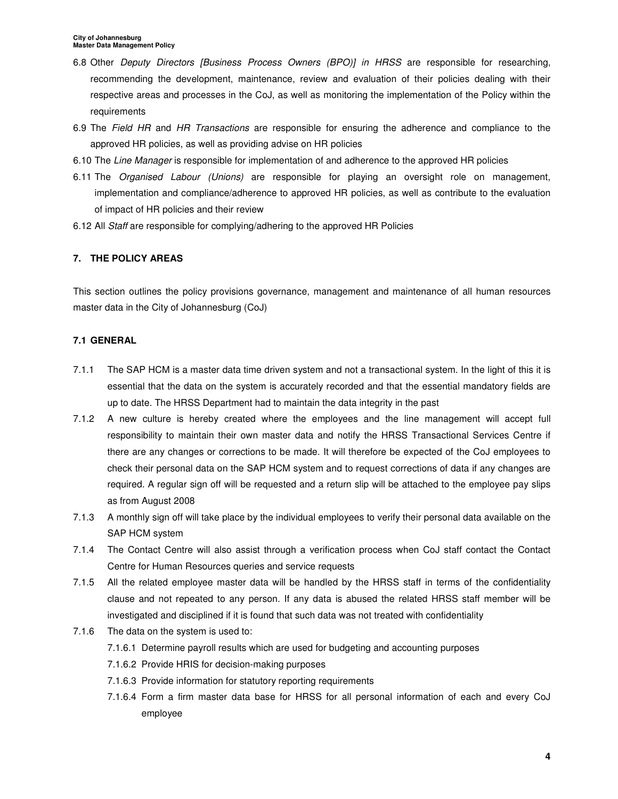- 6.8 Other Deputy Directors [Business Process Owners (BPO)] in HRSS are responsible for researching, recommending the development, maintenance, review and evaluation of their policies dealing with their respective areas and processes in the CoJ, as well as monitoring the implementation of the Policy within the requirements
- 6.9 The Field HR and HR Transactions are responsible for ensuring the adherence and compliance to the approved HR policies, as well as providing advise on HR policies
- 6.10 The Line Manager is responsible for implementation of and adherence to the approved HR policies
- 6.11 The Organised Labour (Unions) are responsible for playing an oversight role on management, implementation and compliance/adherence to approved HR policies, as well as contribute to the evaluation of impact of HR policies and their review
- 6.12 All Staff are responsible for complying/adhering to the approved HR Policies

# **7. THE POLICY AREAS**

This section outlines the policy provisions governance, management and maintenance of all human resources master data in the City of Johannesburg (CoJ)

### **7.1 GENERAL**

- 7.1.1 The SAP HCM is a master data time driven system and not a transactional system. In the light of this it is essential that the data on the system is accurately recorded and that the essential mandatory fields are up to date. The HRSS Department had to maintain the data integrity in the past
- 7.1.2 A new culture is hereby created where the employees and the line management will accept full responsibility to maintain their own master data and notify the HRSS Transactional Services Centre if there are any changes or corrections to be made. It will therefore be expected of the CoJ employees to check their personal data on the SAP HCM system and to request corrections of data if any changes are required. A regular sign off will be requested and a return slip will be attached to the employee pay slips as from August 2008
- 7.1.3 A monthly sign off will take place by the individual employees to verify their personal data available on the SAP HCM system
- 7.1.4 The Contact Centre will also assist through a verification process when CoJ staff contact the Contact Centre for Human Resources queries and service requests
- 7.1.5 All the related employee master data will be handled by the HRSS staff in terms of the confidentiality clause and not repeated to any person. If any data is abused the related HRSS staff member will be investigated and disciplined if it is found that such data was not treated with confidentiality
- 7.1.6 The data on the system is used to:
	- 7.1.6.1 Determine payroll results which are used for budgeting and accounting purposes
	- 7.1.6.2 Provide HRIS for decision-making purposes
	- 7.1.6.3 Provide information for statutory reporting requirements
	- 7.1.6.4 Form a firm master data base for HRSS for all personal information of each and every CoJ employee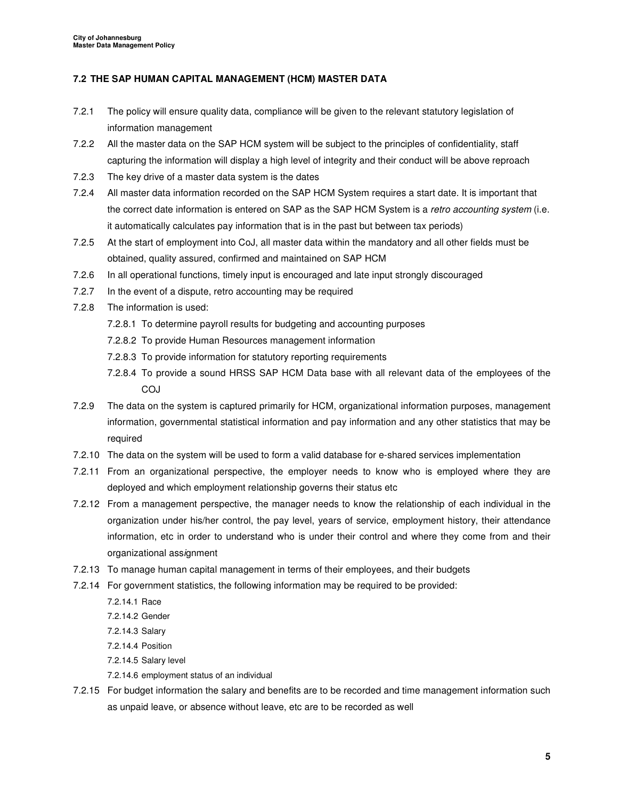### **7.2 THE SAP HUMAN CAPITAL MANAGEMENT (HCM) MASTER DATA**

- 7.2.1 The policy will ensure quality data, compliance will be given to the relevant statutory legislation of information management
- 7.2.2 All the master data on the SAP HCM system will be subject to the principles of confidentiality, staff capturing the information will display a high level of integrity and their conduct will be above reproach
- 7.2.3 The key drive of a master data system is the dates
- 7.2.4 All master data information recorded on the SAP HCM System requires a start date. It is important that the correct date information is entered on SAP as the SAP HCM System is a retro accounting system (i.e. it automatically calculates pay information that is in the past but between tax periods)
- 7.2.5 At the start of employment into CoJ, all master data within the mandatory and all other fields must be obtained, quality assured, confirmed and maintained on SAP HCM
- 7.2.6 In all operational functions, timely input is encouraged and late input strongly discouraged
- 7.2.7 In the event of a dispute, retro accounting may be required
- 7.2.8 The information is used:
	- 7.2.8.1 To determine payroll results for budgeting and accounting purposes
	- 7.2.8.2 To provide Human Resources management information
	- 7.2.8.3 To provide information for statutory reporting requirements
	- 7.2.8.4 To provide a sound HRSS SAP HCM Data base with all relevant data of the employees of the **COJ**
- 7.2.9 The data on the system is captured primarily for HCM, organizational information purposes, management information, governmental statistical information and pay information and any other statistics that may be required
- 7.2.10 The data on the system will be used to form a valid database for e-shared services implementation
- 7.2.11 From an organizational perspective, the employer needs to know who is employed where they are deployed and which employment relationship governs their status etc
- 7.2.12 From a management perspective, the manager needs to know the relationship of each individual in the organization under his/her control, the pay level, years of service, employment history, their attendance information, etc in order to understand who is under their control and where they come from and their organizational assignment
- 7.2.13 To manage human capital management in terms of their employees, and their budgets
- 7.2.14 For government statistics, the following information may be required to be provided:
	- 7.2.14.1 Race
	- 7.2.14.2 Gender
	- 7.2.14.3 Salary
	- 7.2.14.4 Position
	- 7.2.14.5 Salary level
	- 7.2.14.6 employment status of an individual
- 7.2.15 For budget information the salary and benefits are to be recorded and time management information such as unpaid leave, or absence without leave, etc are to be recorded as well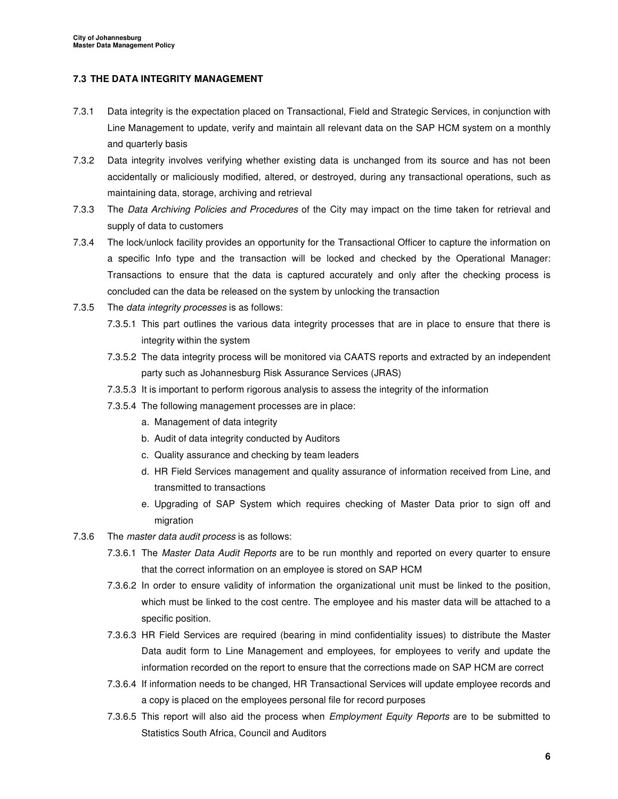#### **7.3 THE DATA INTEGRITY MANAGEMENT**

- 7.3.1 Data integrity is the expectation placed on Transactional, Field and Strategic Services, in conjunction with Line Management to update, verify and maintain all relevant data on the SAP HCM system on a monthly and quarterly basis
- 7.3.2 Data integrity involves verifying whether existing data is unchanged from its source and has not been accidentally or maliciously modified, altered, or destroyed, during any transactional operations, such as maintaining data, storage, archiving and retrieval
- 7.3.3 The Data Archiving Policies and Procedures of the City may impact on the time taken for retrieval and supply of data to customers
- 7.3.4 The lock/unlock facility provides an opportunity for the Transactional Officer to capture the information on a specific Info type and the transaction will be locked and checked by the Operational Manager: Transactions to ensure that the data is captured accurately and only after the checking process is concluded can the data be released on the system by unlocking the transaction
- 7.3.5 The data integrity processes is as follows:
	- 7.3.5.1 This part outlines the various data integrity processes that are in place to ensure that there is integrity within the system
	- 7.3.5.2 The data integrity process will be monitored via CAATS reports and extracted by an independent party such as Johannesburg Risk Assurance Services (JRAS)
	- 7.3.5.3 It is important to perform rigorous analysis to assess the integrity of the information
	- 7.3.5.4 The following management processes are in place:
		- a. Management of data integrity
		- b. Audit of data integrity conducted by Auditors
		- c. Quality assurance and checking by team leaders
		- d. HR Field Services management and quality assurance of information received from Line, and transmitted to transactions
		- e. Upgrading of SAP System which requires checking of Master Data prior to sign off and migration
- 7.3.6 The master data audit process is as follows:
	- 7.3.6.1 The Master Data Audit Reports are to be run monthly and reported on every quarter to ensure that the correct information on an employee is stored on SAP HCM
	- 7.3.6.2 In order to ensure validity of information the organizational unit must be linked to the position, which must be linked to the cost centre. The employee and his master data will be attached to a specific position.
	- 7.3.6.3 HR Field Services are required (bearing in mind confidentiality issues) to distribute the Master Data audit form to Line Management and employees, for employees to verify and update the information recorded on the report to ensure that the corrections made on SAP HCM are correct
	- 7.3.6.4 If information needs to be changed, HR Transactional Services will update employee records and a copy is placed on the employees personal file for record purposes
	- 7.3.6.5 This report will also aid the process when Employment Equity Reports are to be submitted to Statistics South Africa, Council and Auditors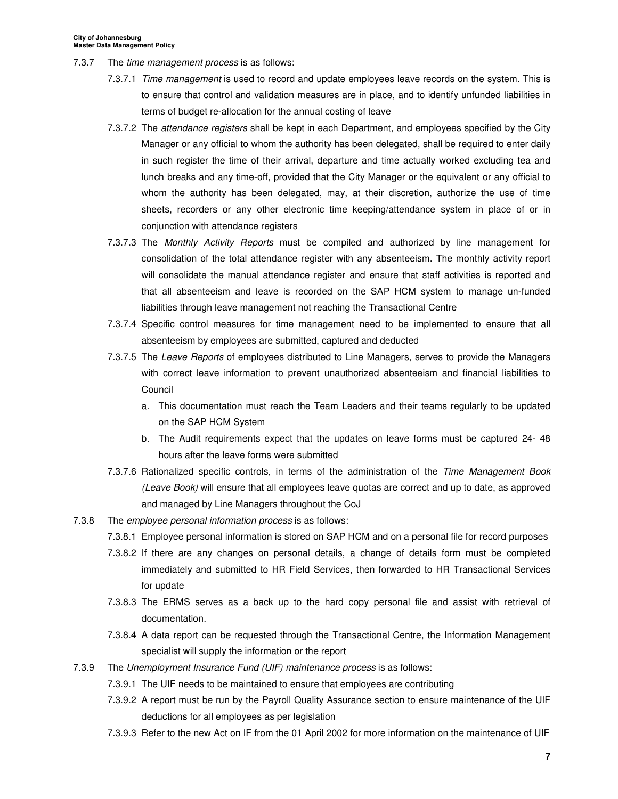- 7.3.7 The *time management process* is as follows:
	- 7.3.7.1 Time management is used to record and update employees leave records on the system. This is to ensure that control and validation measures are in place, and to identify unfunded liabilities in terms of budget re-allocation for the annual costing of leave
	- 7.3.7.2 The attendance registers shall be kept in each Department, and employees specified by the City Manager or any official to whom the authority has been delegated, shall be required to enter daily in such register the time of their arrival, departure and time actually worked excluding tea and lunch breaks and any time-off, provided that the City Manager or the equivalent or any official to whom the authority has been delegated, may, at their discretion, authorize the use of time sheets, recorders or any other electronic time keeping/attendance system in place of or in conjunction with attendance registers
	- 7.3.7.3 The Monthly Activity Reports must be compiled and authorized by line management for consolidation of the total attendance register with any absenteeism. The monthly activity report will consolidate the manual attendance register and ensure that staff activities is reported and that all absenteeism and leave is recorded on the SAP HCM system to manage un-funded liabilities through leave management not reaching the Transactional Centre
	- 7.3.7.4 Specific control measures for time management need to be implemented to ensure that all absenteeism by employees are submitted, captured and deducted
	- 7.3.7.5 The Leave Reports of employees distributed to Line Managers, serves to provide the Managers with correct leave information to prevent unauthorized absenteeism and financial liabilities to Council
		- a. This documentation must reach the Team Leaders and their teams regularly to be updated on the SAP HCM System
		- b. The Audit requirements expect that the updates on leave forms must be captured 24- 48 hours after the leave forms were submitted
	- 7.3.7.6 Rationalized specific controls, in terms of the administration of the Time Management Book (Leave Book) will ensure that all employees leave quotas are correct and up to date, as approved and managed by Line Managers throughout the CoJ
- 7.3.8 The employee personal information process is as follows:
	- 7.3.8.1 Employee personal information is stored on SAP HCM and on a personal file for record purposes
	- 7.3.8.2 If there are any changes on personal details, a change of details form must be completed immediately and submitted to HR Field Services, then forwarded to HR Transactional Services for update
	- 7.3.8.3 The ERMS serves as a back up to the hard copy personal file and assist with retrieval of documentation.
	- 7.3.8.4 A data report can be requested through the Transactional Centre, the Information Management specialist will supply the information or the report
- 7.3.9 The Unemployment Insurance Fund (UIF) maintenance process is as follows:
	- 7.3.9.1 The UIF needs to be maintained to ensure that employees are contributing
	- 7.3.9.2 A report must be run by the Payroll Quality Assurance section to ensure maintenance of the UIF deductions for all employees as per legislation
	- 7.3.9.3 Refer to the new Act on IF from the 01 April 2002 for more information on the maintenance of UIF